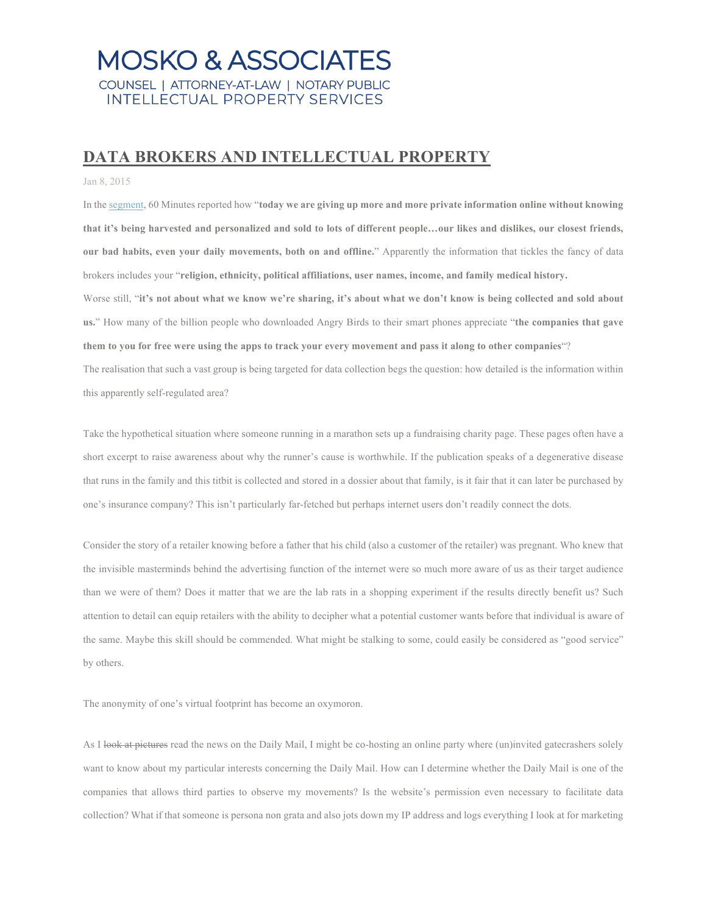# **MOSKO & ASSOCIATES** COUNSEL | ATTORNEY-AT-LAW | NOTARY PUBLIC

**INTELLECTUAL PROPERTY SERVICES** 

## **DATA BROKERS AND INTELLECTUAL PROPERTY**

Jan 8, 2015

In the segment, 60 Minutes reported how "**today we are giving up more and more private information online without knowing** that it's being harvested and personalized and sold to lots of different people...our likes and dislikes, our closest friends, **our bad habits, even your daily movements, both on and offline.**" Apparently the information that tickles the fancy of data brokers includes your "**religion, ethnicity, political affiliations, user names, income, and family medical history.**

Worse still, "it's not about what we know we're sharing, it's about what we don't know is being collected and sold about **us.**" How many of the billion people who downloaded Angry Birds to their smart phones appreciate "**the companies that gave** them to you for free were using the apps to track your every movement and pass it along to other companies"?

The realisation that such a vast group is being targeted for data collection begs the question: how detailed is the information within this apparently self-regulated area?

Take the hypothetical situation where someone running in a marathon sets up a fundraising charity page. These pages often have a short excerpt to raise awareness about why the runner's cause is worthwhile. If the publication speaks of a degenerative disease that runs in the family and this titbit is collected and stored in a dossier about that family, is it fair that it can later be purchased by one's insurance company? This isn't particularly far-fetched but perhaps internet users don't readily connect the dots.

Consider the story of a retailer knowing before a father that his child (also a customer of the retailer) was pregnant. Who knew that the invisible masterminds behind the advertising function of the internet were so much more aware of us as their target audience than we were of them? Does it matter that we are the lab rats in a shopping experiment if the results directly benefit us? Such attention to detail can equip retailers with the ability to decipher what a potential customer wants before that individual is aware of the same. Maybe this skill should be commended. What might be stalking to some, could easily be considered as "good service" by others.

The anonymity of one's virtual footprint has become an oxymoron.

As I look at pictures read the news on the Daily Mail, I might be co-hosting an online party where (un)invited gatecrashers solely want to know about my particular interests concerning the Daily Mail. How can I determine whether the Daily Mail is one of the companies that allows third parties to observe my movements? Is the website's permission even necessary to facilitate data collection? What if that someone is persona non grata and also jots down my IP address and logs everything I look at for marketing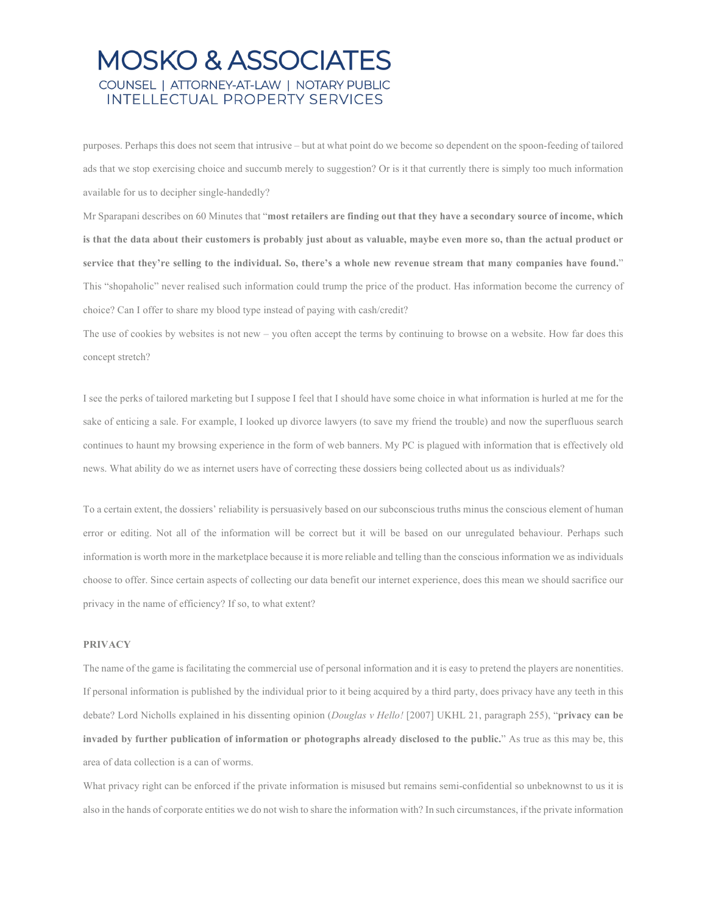purposes. Perhaps this does not seem that intrusive – but at what point do we become so dependent on the spoon-feeding of tailored ads that we stop exercising choice and succumb merely to suggestion? Or is it that currently there is simply too much information available for us to decipher single-handedly?

Mr Sparapani describes on 60 Minutes that "**most retailers are finding out that they have a secondary source of income, which** is that the data about their customers is probably just about as valuable, maybe even more so, than the actual product or service that they're selling to the individual. So, there's a whole new revenue stream that many companies have found." This "shopaholic" never realised such information could trump the price of the product. Has information become the currency of choice? Can I offer to share my blood type instead of paying with cash/credit?

The use of cookies by websites is not new – you often accept the terms by continuing to browse on a website. How far does this concept stretch?

I see the perks of tailored marketing but I suppose I feel that I should have some choice in what information is hurled at me for the sake of enticing a sale. For example, I looked up divorce lawyers (to save my friend the trouble) and now the superfluous search continues to haunt my browsing experience in the form of web banners. My PC is plagued with information that is effectively old news. What ability do we as internet users have of correcting these dossiers being collected about us as individuals?

To a certain extent, the dossiers' reliability is persuasively based on our subconscious truths minus the conscious element of human error or editing. Not all of the information will be correct but it will be based on our unregulated behaviour. Perhaps such information is worth more in the marketplace because it is more reliable and telling than the conscious information we as individuals choose to offer. Since certain aspects of collecting our data benefit our internet experience, does this mean we should sacrifice our privacy in the name of efficiency? If so, to what extent?

#### **PRIVACY**

The name of the game is facilitating the commercial use of personal information and it is easy to pretend the players are nonentities. If personal information is published by the individual prior to it being acquired by a third party, does privacy have any teeth in this debate? Lord Nicholls explained in his dissenting opinion (*Douglas v Hello!* [2007] UKHL 21, paragraph 255), "**privacy can be invaded by further publication of information or photographs already disclosed to the public.**" As true as this may be, this area of data collection is a can of worms.

What privacy right can be enforced if the private information is misused but remains semi-confidential so unbeknownst to us it is also in the hands of corporate entities we do not wish to share the information with? In such circumstances, if the private information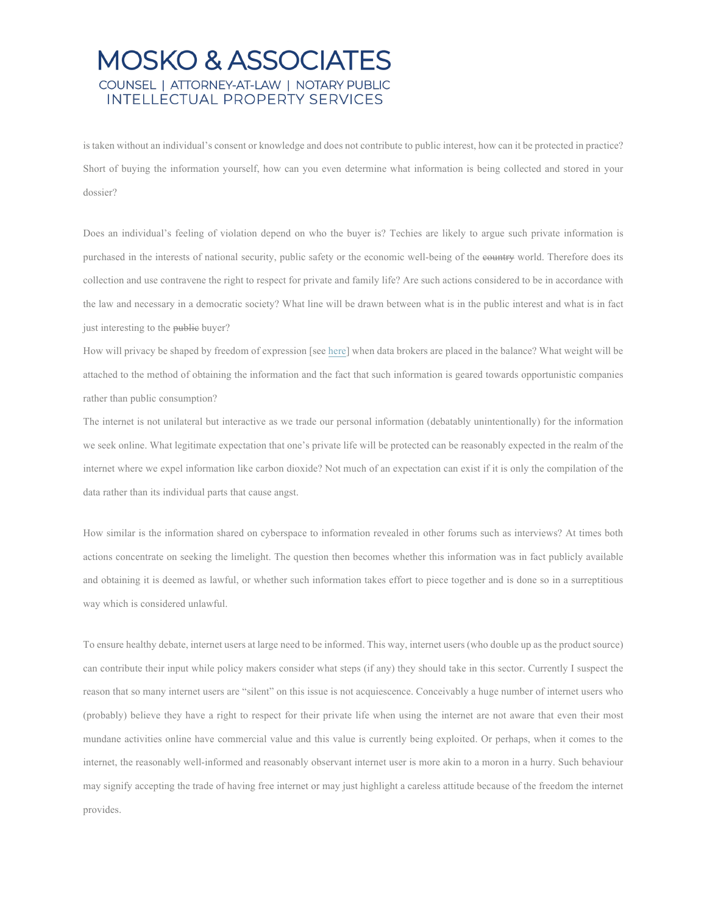is taken without an individual's consent or knowledge and does not contribute to public interest, how can it be protected in practice? Short of buying the information yourself, how can you even determine what information is being collected and stored in your dossier?

Does an individual's feeling of violation depend on who the buyer is? Techies are likely to argue such private information is purchased in the interests of national security, public safety or the economic well-being of the country world. Therefore does its collection and use contravene the right to respect for private and family life? Are such actions considered to be in accordance with the law and necessary in a democratic society? What line will be drawn between what is in the public interest and what is in fact just interesting to the public buyer?

How will privacy be shaped by freedom of expression [see here] when data brokers are placed in the balance? What weight will be attached to the method of obtaining the information and the fact that such information is geared towards opportunistic companies rather than public consumption?

The internet is not unilateral but interactive as we trade our personal information (debatably unintentionally) for the information we seek online. What legitimate expectation that one's private life will be protected can be reasonably expected in the realm of the internet where we expel information like carbon dioxide? Not much of an expectation can exist if it is only the compilation of the data rather than its individual parts that cause angst.

How similar is the information shared on cyberspace to information revealed in other forums such as interviews? At times both actions concentrate on seeking the limelight. The question then becomes whether this information was in fact publicly available and obtaining it is deemed as lawful, or whether such information takes effort to piece together and is done so in a surreptitious way which is considered unlawful.

To ensure healthy debate, internet users at large need to be informed. This way, internet users (who double up as the product source) can contribute their input while policy makers consider what steps (if any) they should take in this sector. Currently I suspect the reason that so many internet users are "silent" on this issue is not acquiescence. Conceivably a huge number of internet users who (probably) believe they have a right to respect for their private life when using the internet are not aware that even their most mundane activities online have commercial value and this value is currently being exploited. Or perhaps, when it comes to the internet, the reasonably well-informed and reasonably observant internet user is more akin to a moron in a hurry. Such behaviour may signify accepting the trade of having free internet or may just highlight a careless attitude because of the freedom the internet provides.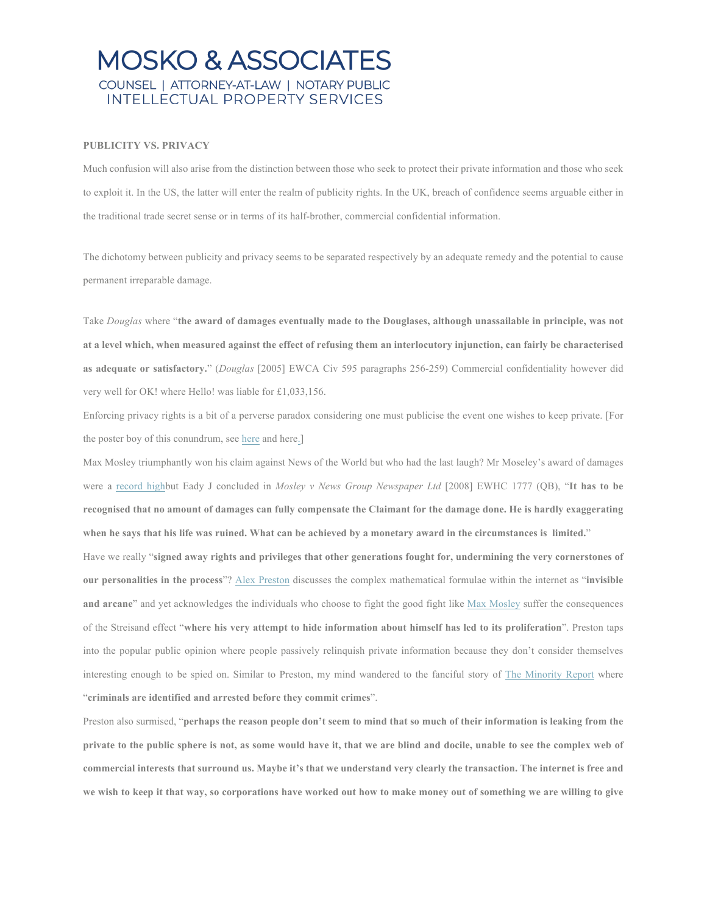## **PUBLICITY VS. PRIVACY**

Much confusion will also arise from the distinction between those who seek to protect their private information and those who seek to exploit it. In the US, the latter will enter the realm of publicity rights. In the UK, breach of confidence seems arguable either in the traditional trade secret sense or in terms of its half-brother, commercial confidential information.

The dichotomy between publicity and privacy seems to be separated respectively by an adequate remedy and the potential to cause permanent irreparable damage.

Take Douglas where "the award of damages eventually made to the Douglases, although unassailable in principle, was not at a level which, when measured against the effect of refusing them an interlocutory injunction, can fairly be characterised **as adequate or satisfactory.**" (*Douglas* [2005] EWCA Civ 595 paragraphs 256-259) Commercial confidentiality however did very well for OK! where Hello! was liable for £1,033,156.

Enforcing privacy rights is a bit of a perverse paradox considering one must publicise the event one wishes to keep private. [For the poster boy of this conundrum, see here and here.]

Max Mosley triumphantly won his claim against News of the World but who had the last laugh? Mr Moseley's award of damages were a record highbut Eady J concluded in *Mosley v News Group Newspaper Ltd* [2008] EWHC 1777 (QB), "**It has to be** recognised that no amount of damages can fully compensate the Claimant for the damage done. He is hardly exaggerating when he says that his life was ruined. What can be achieved by a monetary award in the circumstances is limited."

Have we really "signed away rights and privileges that other generations fought for, undermining the very cornerstones of **our personalities in the process**"? Alex Preston discusses the complex mathematical formulae within the internet as "**invisible and arcane**" and yet acknowledges the individuals who choose to fight the good fight like Max Mosley suffer the consequences of the Streisand effect "**where his very attempt to hide information about himself has led to its proliferation**". Preston taps into the popular public opinion where people passively relinquish private information because they don't consider themselves interesting enough to be spied on. Similar to Preston, my mind wandered to the fanciful story of The Minority Report where "**criminals are identified and arrested before they commit crimes**".

Preston also surmised, "perhaps the reason people don't seem to mind that so much of their information is leaking from the private to the public sphere is not, as some would have it, that we are blind and docile, unable to see the complex web of commercial interests that surround us. Maybe it's that we understand very clearly the transaction. The internet is free and we wish to keep it that way, so corporations have worked out how to make money out of something we are willing to give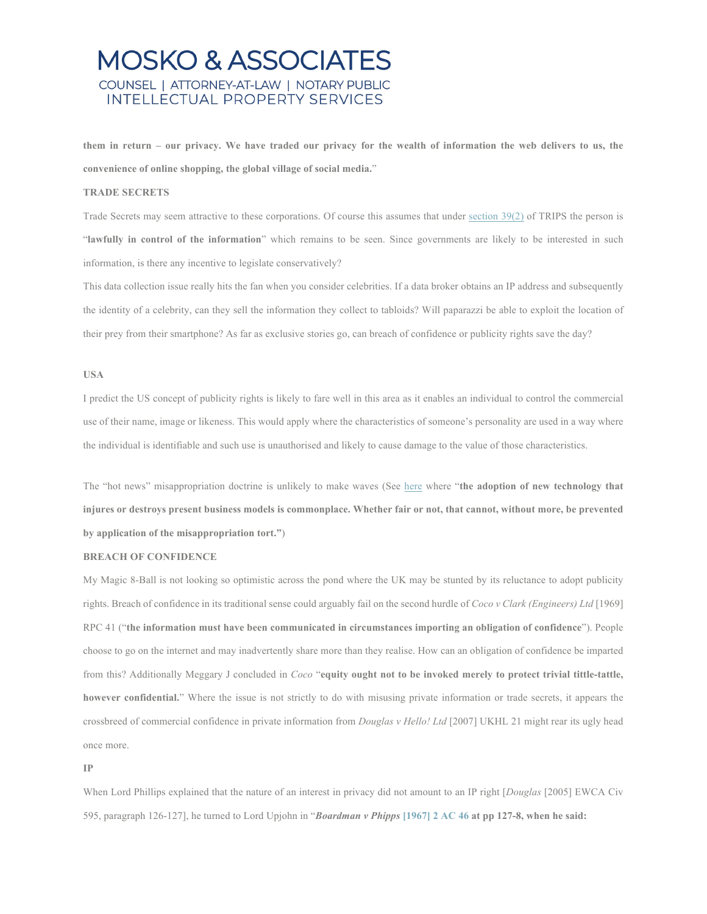them in return – our privacy. We have traded our privacy for the wealth of information the web delivers to us, the **convenience of online shopping, the global village of social media.**"

## **TRADE SECRETS**

Trade Secrets may seem attractive to these corporations. Of course this assumes that under section 39(2) of TRIPS the person is "**lawfully in control of the information**" which remains to be seen. Since governments are likely to be interested in such information, is there any incentive to legislate conservatively?

This data collection issue really hits the fan when you consider celebrities. If a data broker obtains an IP address and subsequently the identity of a celebrity, can they sell the information they collect to tabloids? Will paparazzi be able to exploit the location of their prey from their smartphone? As far as exclusive stories go, can breach of confidence or publicity rights save the day?

## **USA**

I predict the US concept of publicity rights is likely to fare well in this area as it enables an individual to control the commercial use of their name, image or likeness. This would apply where the characteristics of someone's personality are used in a way where the individual is identifiable and such use is unauthorised and likely to cause damage to the value of those characteristics.

The "hot news" misappropriation doctrine is unlikely to make waves (See here where "**the adoption of new technology that** injures or destroys present business models is commonplace. Whether fair or not, that cannot, without more, be prevented **by application of the misappropriation tort."**)

#### **BREACH OF CONFIDENCE**

My Magic 8-Ball is not looking so optimistic across the pond where the UK may be stunted by its reluctance to adopt publicity rights. Breach of confidence in its traditional sense could arguably fail on the second hurdle of *Coco v Clark (Engineers) Ltd* [1969] RPC 41 ("**the information must have been communicated in circumstances importing an obligation of confidence**"). People choose to go on the internet and may inadvertently share more than they realise. How can an obligation of confidence be imparted from this? Additionally Meggary J concluded in *Coco* "**equity ought not to be invoked merely to protect trivial tittle-tattle, however confidential.**" Where the issue is not strictly to do with misusing private information or trade secrets, it appears the crossbreed of commercial confidence in private information from *Douglas v Hello! Ltd* [2007] UKHL 21 might rear its ugly head once more.

#### **IP**

When Lord Phillips explained that the nature of an interest in privacy did not amount to an IP right [*Douglas* [2005] EWCA Civ 595, paragraph 126-127], he turned to Lord Upjohn in "*Boardman v Phipps* **[1967] 2 AC 46 at pp 127-8, when he said:**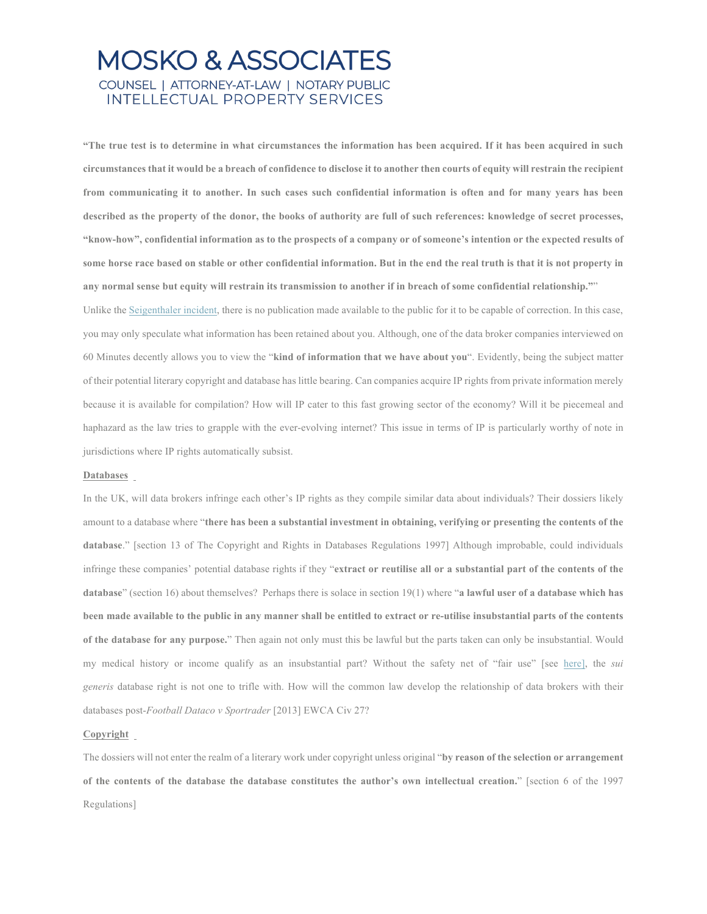# **MOSKO & ASSOCIATES**

COUNSEL | ATTORNEY-AT-LAW | NOTARY PUBLIC **INTELLECTUAL PROPERTY SERVICES** 

"The true test is to determine in what circumstances the information has been acquired. If it has been acquired in such circumstances that it would be a breach of confidence to disclose it to another then courts of equity will restrain the recipient from communicating it to another. In such cases such confidential information is often and for many years has been described as the property of the donor, the books of authority are full of such references: knowledge of secret processes, "know-how", confidential information as to the prospects of a company or of someone's intention or the expected results of some horse race based on stable or other confidential information. But in the end the real truth is that it is not property in any normal sense but equity will restrain its transmission to another if in breach of some confidential relationship.""

Unlike the Seigenthaler incident, there is no publication made available to the public for it to be capable of correction. In this case, you may only speculate what information has been retained about you. Although, one of the data broker companies interviewed on 60 Minutes decently allows you to view the "**kind of information that we have about you**". Evidently, being the subject matter of their potential literary copyright and database has little bearing. Can companies acquire IP rights from private information merely because it is available for compilation? How will IP cater to this fast growing sector of the economy? Will it be piecemeal and haphazard as the law tries to grapple with the ever-evolving internet? This issue in terms of IP is particularly worthy of note in jurisdictions where IP rights automatically subsist.

## **Databases**

In the UK, will data brokers infringe each other's IP rights as they compile similar data about individuals? Their dossiers likely amount to a database where "there has been a substantial investment in obtaining, verifying or presenting the contents of the **database**." [section 13 of The Copyright and Rights in Databases Regulations 1997] Although improbable, could individuals infringe these companies' potential database rights if they "**extract or reutilise all or a substantial part of the contents of the database**" (section 16) about themselves? Perhaps there is solace in section 19(1) where "**a lawful user of a database which has** been made available to the public in any manner shall be entitled to extract or re-utilise insubstantial parts of the contents **of the database for any purpose.**" Then again not only must this be lawful but the parts taken can only be insubstantial. Would my medical history or income qualify as an insubstantial part? Without the safety net of "fair use" [see here], the *sui generis* database right is not one to trifle with. How will the common law develop the relationship of data brokers with their databases post-*Football Dataco v Sportrader* [2013] EWCA Civ 27?

#### **Copyright**

The dossiers will not enter the realm of a literary work under copyright unless original "**by reason of the selection or arrangement of the contents of the database the database constitutes the author's own intellectual creation.**" [section 6 of the 1997 Regulations]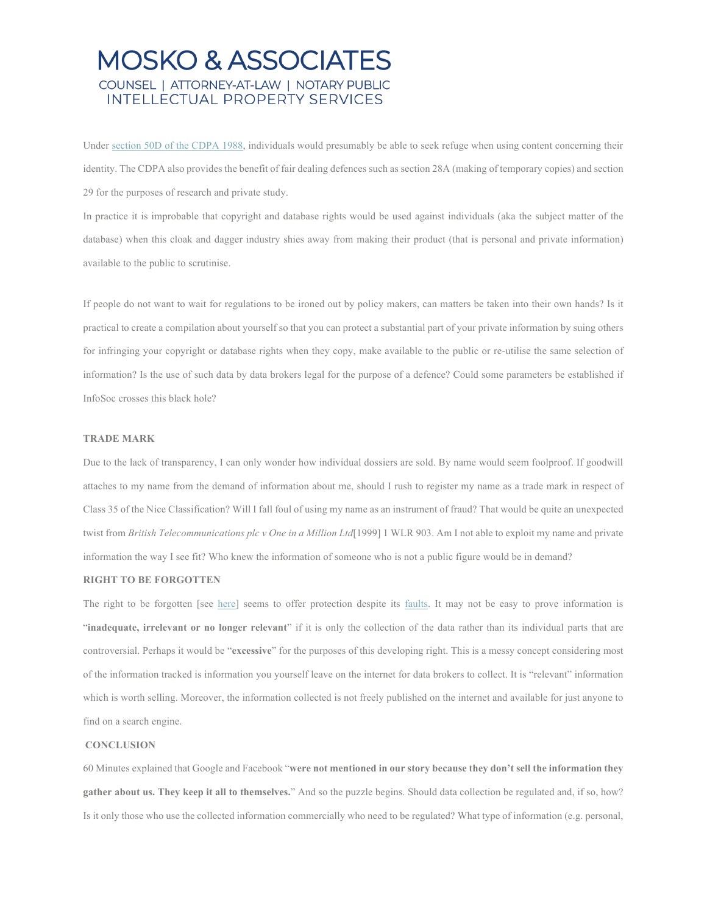Under section 50D of the CDPA 1988, individuals would presumably be able to seek refuge when using content concerning their identity. The CDPA also provides the benefit of fair dealing defences such as section 28A (making of temporary copies) and section 29 for the purposes of research and private study.

In practice it is improbable that copyright and database rights would be used against individuals (aka the subject matter of the database) when this cloak and dagger industry shies away from making their product (that is personal and private information) available to the public to scrutinise.

If people do not want to wait for regulations to be ironed out by policy makers, can matters be taken into their own hands? Is it practical to create a compilation about yourself so that you can protect a substantial part of your private information by suing others for infringing your copyright or database rights when they copy, make available to the public or re-utilise the same selection of information? Is the use of such data by data brokers legal for the purpose of a defence? Could some parameters be established if InfoSoc crosses this black hole?

## **TRADE MARK**

Due to the lack of transparency, I can only wonder how individual dossiers are sold. By name would seem foolproof. If goodwill attaches to my name from the demand of information about me, should I rush to register my name as a trade mark in respect of Class 35 of the Nice Classification? Will I fall foul of using my name as an instrument of fraud? That would be quite an unexpected twist from *British Telecommunications plc v One in a Million Ltd*[1999] 1 WLR 903. Am I not able to exploit my name and private information the way I see fit? Who knew the information of someone who is not a public figure would be in demand?

### **RIGHT TO BE FORGOTTEN**

The right to be forgotten [see here] seems to offer protection despite its faults. It may not be easy to prove information is "**inadequate, irrelevant or no longer relevant**" if it is only the collection of the data rather than its individual parts that are controversial. Perhaps it would be "**excessive**" for the purposes of this developing right. This is a messy concept considering most of the information tracked is information you yourself leave on the internet for data brokers to collect. It is "relevant" information which is worth selling. Moreover, the information collected is not freely published on the internet and available for just anyone to find on a search engine.

## **CONCLUSION**

60 Minutes explained that Google and Facebook "**were not mentioned in our story because they don't sell the information they gather about us. They keep it all to themselves.**" And so the puzzle begins. Should data collection be regulated and, if so, how? Is it only those who use the collected information commercially who need to be regulated? What type of information (e.g. personal,